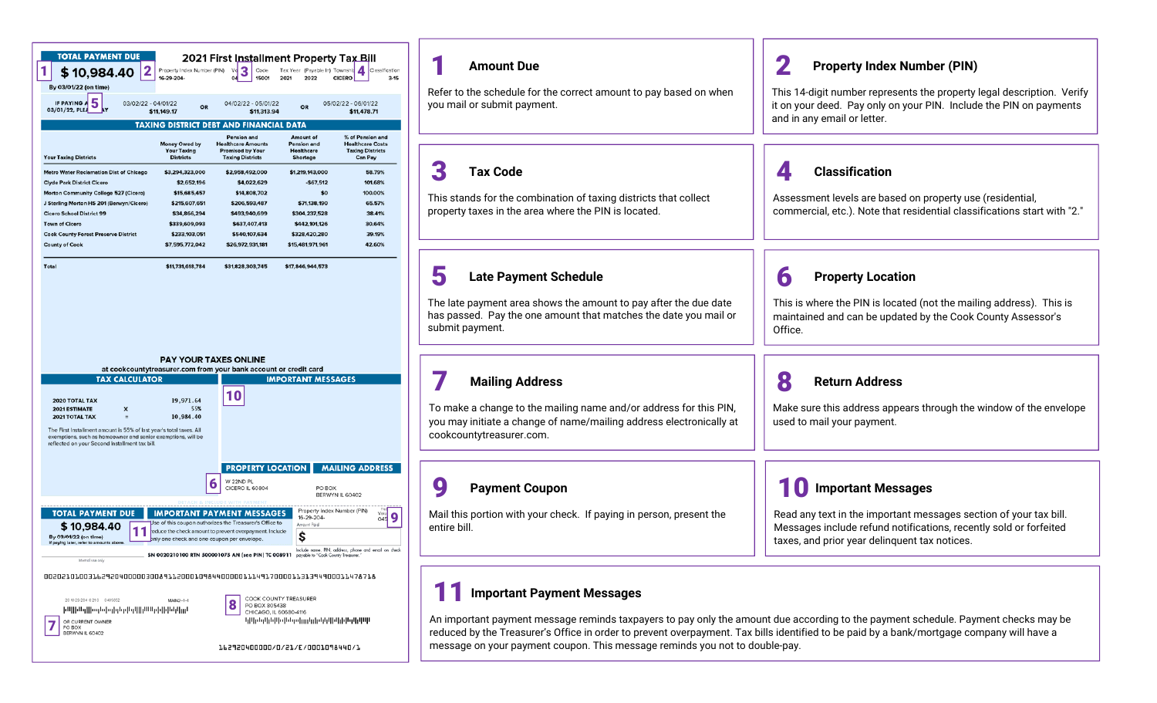| 2<br>\$10,984.40                                                                                                                               | Property Index Number (PIN)<br>16-29-204-   | Code<br>Vo<br>15001                                                                                               | Tax Year (Payable In) Township<br>2021<br>2022 | Classification<br><b>CICERO</b><br>$3 - 15$          |
|------------------------------------------------------------------------------------------------------------------------------------------------|---------------------------------------------|-------------------------------------------------------------------------------------------------------------------|------------------------------------------------|------------------------------------------------------|
| By 03/01/22 (on time)<br>IF PAYING A<br>03/02/22 - 04/01/22                                                                                    |                                             | 04/02/22 - 05/01/22                                                                                               |                                                | 05/02/22 - 06/01/22                                  |
| 5<br>03/01/22, PLEA                                                                                                                            | OR<br>\$11,149.17                           | \$11,313.94                                                                                                       | OR                                             | \$11,478.71                                          |
|                                                                                                                                                |                                             | <b>TAXING DISTRICT DEBT AND FINANCIAL DATA</b>                                                                    |                                                |                                                      |
|                                                                                                                                                |                                             | Pension and                                                                                                       | Amount of                                      | % of Pension and                                     |
|                                                                                                                                                | Money Owed by<br><b>Your Taxing</b>         | <b>Healthcare Amounts</b><br><b>Promised by Your</b>                                                              | <b>Pension and</b><br>Healthcare               | <b>Healthcare Costs</b><br><b>Taxing Districts</b>   |
| <b>Your Taxing Districts</b>                                                                                                                   | <b>Districts</b>                            | <b>Taxing Districts</b>                                                                                           | Shortage                                       | Can Pay                                              |
| <b>Metro Water Reclamation Dist of Chicago</b>                                                                                                 | \$3,294,323,000                             | \$2,958,492,000                                                                                                   | \$1,219,143,000                                | 58.79%                                               |
| <b>Clyde Park District Cicero</b>                                                                                                              | \$2,652,196                                 | \$4,022,629                                                                                                       | $-$67,512$                                     | 101.68%                                              |
| Morton Community College 527 (Cicero)<br>J Sterling Morton HS 201 (Berwyn/Cicero)                                                              | \$15,685,457<br>\$215,607,651               | \$14,808,702<br>\$206,593,487                                                                                     | \$0<br>\$71,138,190                            | 100.00%<br>65.57%                                    |
| <b>Cicero School District 99</b>                                                                                                               | \$34,866,294                                | \$493,940,699                                                                                                     | \$304,237,528                                  | 38.41%                                               |
| <b>Town of Cicero</b>                                                                                                                          | \$339,609,093                               | \$637,407,413                                                                                                     | \$442,101,126                                  | 30.64%                                               |
| <b>Cook County Forest Preserve District</b>                                                                                                    | \$233,103,051                               | \$540,107,634                                                                                                     | \$328,420,280                                  | 39.19%                                               |
| <b>County of Cook</b>                                                                                                                          | \$7,595,772,042                             | \$26,972,931,181                                                                                                  | \$15,481,971,961                               | 42.60%                                               |
|                                                                                                                                                |                                             |                                                                                                                   |                                                |                                                      |
| <b>Total</b>                                                                                                                                   | \$11,731,618,784                            | \$31,828,303,745                                                                                                  | \$17,846,944,573                               |                                                      |
|                                                                                                                                                | <b>PAY YOUR TAXES ONLINE</b>                |                                                                                                                   |                                                |                                                      |
|                                                                                                                                                |                                             | at cookcountytreasurer.com from your bank account or credit card                                                  |                                                |                                                      |
| <b>TAX CALCULATOR</b>                                                                                                                          |                                             |                                                                                                                   | <b>IMPORTANT MESSAGES</b>                      |                                                      |
| 2020 TOTAL TAX                                                                                                                                 | 19,971.64                                   | 10                                                                                                                |                                                |                                                      |
| <b>2021 ESTIMATE</b><br>x                                                                                                                      | 55%                                         |                                                                                                                   |                                                |                                                      |
| 2021 TOTAL TAX<br>$\equiv$                                                                                                                     | 10,984.40                                   |                                                                                                                   |                                                |                                                      |
| The First Installment amount is 55% of last year's total taxes. All<br>exemptions, such as homeowner and senior exemptions, will be            |                                             |                                                                                                                   |                                                |                                                      |
|                                                                                                                                                |                                             |                                                                                                                   |                                                |                                                      |
|                                                                                                                                                |                                             | <b>PROPERTY LOCATION</b>                                                                                          |                                                | <b>MAILING ADDRESS</b>                               |
|                                                                                                                                                |                                             | W 22ND PL                                                                                                         |                                                |                                                      |
|                                                                                                                                                | b                                           | CICERO IL 60804                                                                                                   | PO BOX                                         | BERWYN IL 60402                                      |
|                                                                                                                                                |                                             |                                                                                                                   |                                                |                                                      |
| reflected on your Second Installment tax bill.<br><b>TOTAL PAYMENT DUE</b>                                                                     |                                             | <b>IMPORTANT PAYMENT MESSAGES</b>                                                                                 | 16-29-204-                                     | Property Index Number (PIN)<br>Volu<br>045           |
| \$10,984.40                                                                                                                                    |                                             | Jse of this coupon authorizes the Treasurer's Office to<br>educe the check amount to prevent overpayment. Include | Amount Paid                                    |                                                      |
| By 03/01/22 (on time)<br>If paying later, refer to amounts above.                                                                              | only one check and one coupon per envelope. |                                                                                                                   |                                                |                                                      |
|                                                                                                                                                |                                             | SN 0020210100 RTN 500001075 AN (see PIN) TC 008911                                                                |                                                | Include name, PIN, address, phone and email on check |
| Internal use only                                                                                                                              |                                             |                                                                                                                   |                                                |                                                      |
|                                                                                                                                                |                                             |                                                                                                                   |                                                |                                                      |
|                                                                                                                                                |                                             |                                                                                                                   |                                                |                                                      |
| 00202101003162920400008008911200010984400000111491700001131394900011478718<br>2016-29-204 0 21 0 0 405652<br>իալիացվիսգեցիցերվերակինացիկեկվում | MAIN2-1-1                                   | COOK COUNTY TREASURER<br>8<br>PO BOX 805438<br>CHICAGO, IL 60680-4116                                             |                                                |                                                      |

| <b>Amount Due</b><br>Refer to the schedule for the correct amount to pay based on when<br>you mail or submit payment.                            | <b>Property Index Number (PIN)</b><br>This 14-digit number represents the property legal description. Verify<br>it on your deed. Pay only on your PIN. Include the PIN on payments<br>and in any email or letter. |
|--------------------------------------------------------------------------------------------------------------------------------------------------|-------------------------------------------------------------------------------------------------------------------------------------------------------------------------------------------------------------------|
| 3<br><b>Tax Code</b><br>This stands for the combination of taxing districts that collect<br>property taxes in the area where the PIN is located. | <b>Classification</b><br>Assessment levels are based on property use (residential,<br>commercial, etc.). Note that residential classifications start with "2."                                                    |
| 5                                                                                                                                                | 6                                                                                                                                                                                                                 |
| <b>Late Payment Schedule</b>                                                                                                                     | <b>Property Location</b>                                                                                                                                                                                          |
| The late payment area shows the amount to pay after the due date                                                                                 | This is where the PIN is located (not the mailing address). This is                                                                                                                                               |
| has passed. Pay the one amount that matches the date you mail or                                                                                 | maintained and can be updated by the Cook County Assessor's                                                                                                                                                       |
| submit payment.                                                                                                                                  | Office.                                                                                                                                                                                                           |
| <b>Mailing Address</b>                                                                                                                           | 8                                                                                                                                                                                                                 |
| To make a change to the mailing name and/or address for this PIN,                                                                                | <b>Return Address</b>                                                                                                                                                                                             |
| you may initiate a change of name/mailing address electronically at                                                                              | Make sure this address appears through the window of the envelope                                                                                                                                                 |
| cookcountytreasurer.com.                                                                                                                         | used to mail your payment.                                                                                                                                                                                        |
| 9                                                                                                                                                | <b>Important Messages</b>                                                                                                                                                                                         |
| <b>Payment Coupon</b>                                                                                                                            | Read any text in the important messages section of your tax bill.                                                                                                                                                 |
| Mail this portion with your check. If paying in person, present the                                                                              | Messages include refund notifications, recently sold or forfeited                                                                                                                                                 |
| entire bill.                                                                                                                                     | taxes, and prior year delinquent tax notices.                                                                                                                                                                     |